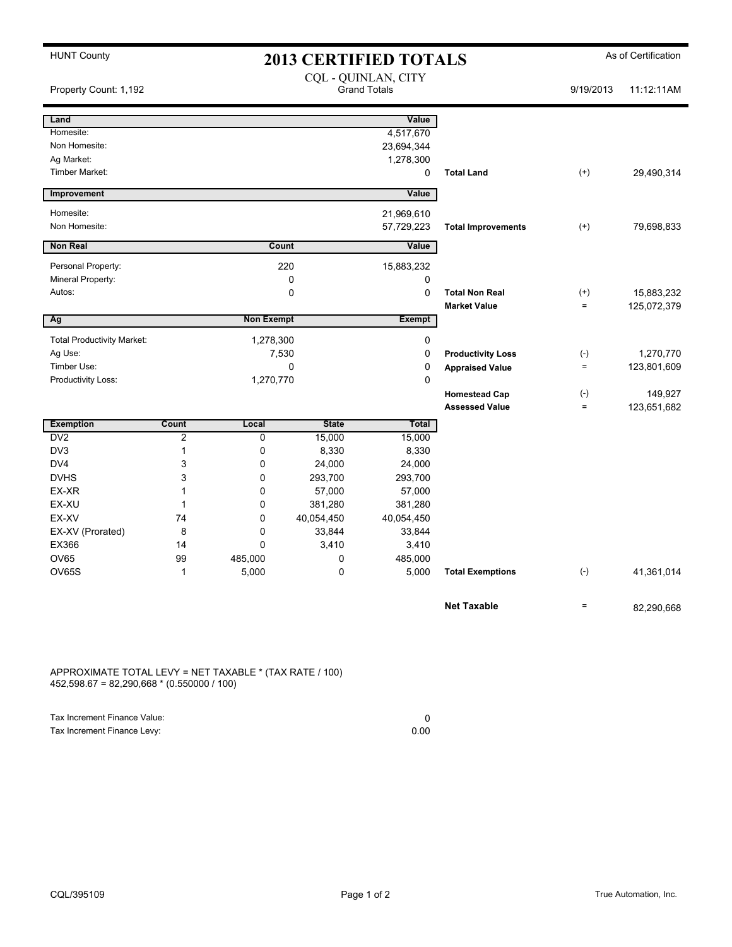| <b>HUNT County</b>                |       |                   | <b>2013 CERTIFIED TOTALS</b> | As of Certification                        |                           |                   |             |
|-----------------------------------|-------|-------------------|------------------------------|--------------------------------------------|---------------------------|-------------------|-------------|
| Property Count: 1,192             |       |                   |                              | CQL - QUINLAN, CITY<br><b>Grand Totals</b> |                           |                   | 11:12:11AM  |
| Land                              |       |                   |                              | Value                                      |                           |                   |             |
| Homesite:                         |       |                   |                              | 4,517,670                                  |                           |                   |             |
| Non Homesite:                     |       |                   |                              | 23,694,344                                 |                           |                   |             |
| Ag Market:                        |       |                   |                              | 1,278,300                                  |                           |                   |             |
| Timber Market:                    |       |                   |                              | 0                                          | <b>Total Land</b>         | $^{(+)}$          | 29,490,314  |
| Improvement                       |       |                   |                              | Value                                      |                           |                   |             |
| Homesite:                         |       |                   |                              | 21,969,610                                 |                           |                   |             |
| Non Homesite:                     |       |                   |                              | 57,729,223                                 | <b>Total Improvements</b> | $^{(+)}$          | 79,698,833  |
| <b>Non Real</b>                   |       |                   | Count                        | Value                                      |                           |                   |             |
| Personal Property:                |       |                   | 220                          | 15,883,232                                 |                           |                   |             |
| Mineral Property:                 |       |                   | 0                            | 0                                          |                           |                   |             |
| Autos:                            |       |                   | 0                            | $\mathbf 0$                                | <b>Total Non Real</b>     | $^{(+)}$          | 15,883,232  |
|                                   |       |                   |                              |                                            | <b>Market Value</b>       | $=$               | 125,072,379 |
| Ag                                |       | <b>Non Exempt</b> |                              | <b>Exempt</b>                              |                           |                   |             |
| <b>Total Productivity Market:</b> |       | 1,278,300         |                              | 0                                          |                           |                   |             |
| Ag Use:                           | 7,530 |                   | 0                            | <b>Productivity Loss</b>                   | $(-)$                     | 1,270,770         |             |
| Timber Use:                       |       | $\Omega$          |                              | $\mathbf 0$                                | <b>Appraised Value</b>    | $\qquad \qquad =$ | 123,801,609 |
| Productivity Loss:                |       | 1,270,770         |                              | $\mathbf 0$                                |                           |                   |             |
|                                   |       |                   |                              |                                            | <b>Homestead Cap</b>      | $(-)$             | 149,927     |
|                                   |       |                   |                              |                                            | <b>Assessed Value</b>     | $=$               | 123,651,682 |
| <b>Exemption</b>                  | Count | Local             | <b>State</b>                 | Total                                      |                           |                   |             |
| DV <sub>2</sub>                   | 2     | 0                 | 15,000                       | 15,000                                     |                           |                   |             |
| DV3                               | 1     | 0                 | 8,330                        | 8,330                                      |                           |                   |             |
| DV4                               | 3     | 0                 | 24,000                       | 24,000                                     |                           |                   |             |
| <b>DVHS</b>                       | 3     | 0                 | 293,700                      | 293,700                                    |                           |                   |             |
| EX-XR                             | 1     | 0                 | 57,000                       | 57,000                                     |                           |                   |             |
| EX-XU                             | 1     | 0                 | 381,280                      | 381,280                                    |                           |                   |             |
| EX-XV                             | 74    | 0                 | 40,054,450                   | 40,054,450                                 |                           |                   |             |
| EX-XV (Prorated)                  | 8     | 0                 | 33,844                       | 33,844                                     |                           |                   |             |
| EX366                             | 14    | 0                 | 3,410                        | 3,410                                      |                           |                   |             |
| <b>OV65</b>                       | 99    | 485,000           | 0                            | 485,000                                    |                           |                   |             |
| <b>OV65S</b>                      | 1     | 5,000             | $\mathbf 0$                  | 5,000                                      | <b>Total Exemptions</b>   | $(-)$             | 41,361,014  |
|                                   |       |                   |                              |                                            | <b>Net Taxable</b>        | $=$               | 82,290,668  |

APPROXIMATE TOTAL LEVY = NET TAXABLE \* (TAX RATE / 100) 452,598.67 = 82,290,668 \* (0.550000 / 100)

| Tax Increment Finance Value: |      |
|------------------------------|------|
| Tax Increment Finance Levy:  | 0.00 |